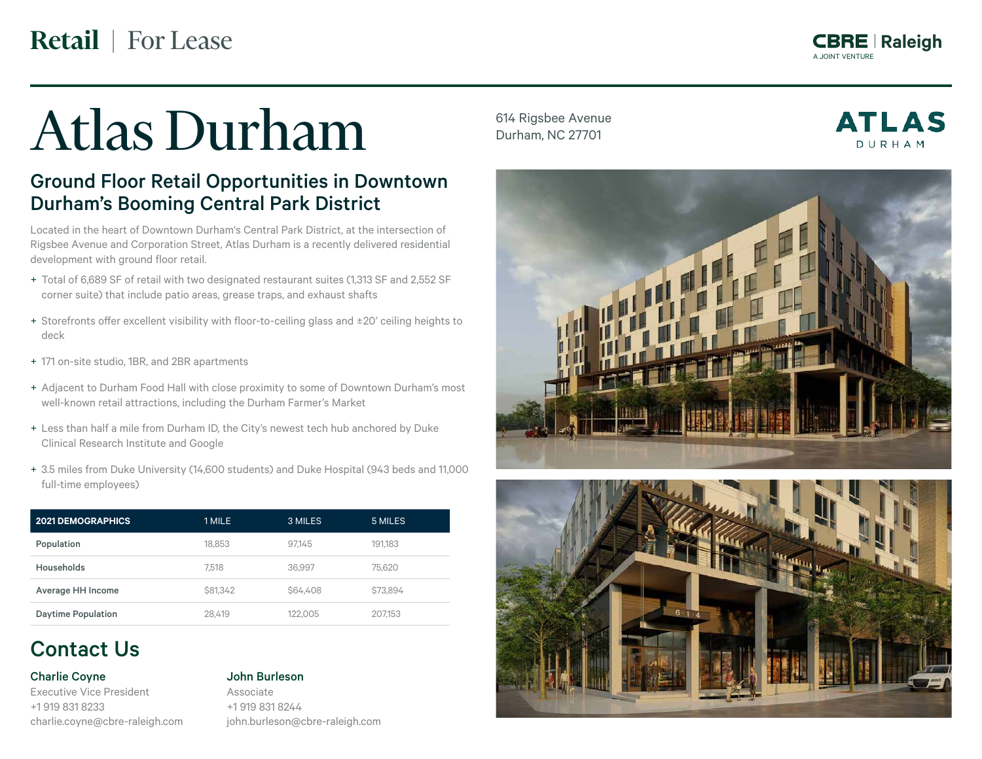**Retail** | For Lease

A JOINT VENTURE A JOINT VENTURE **Raleigh Raleigh**

# Atlas Durham

## Ground Floor Retail Opportunities in Downtown Durham's Booming Central Park District

Located in the heart of Downtown Durham's Central Park District, at the intersection of Rigsbee Avenue and Corporation Street, Atlas Durham is a recently delivered residential development with ground floor retail.

- + Total of 6,689 SF of retail with two designated restaurant suites (1,313 SF and 2,552 SF corner suite) that include patio areas, grease traps, and exhaust shafts
- + Storefronts offer excellent visibility with floor-to-ceiling glass and ±20' ceiling heights to deck
- + 171 on-site studio, 1BR, and 2BR apartments
- + Adjacent to Durham Food Hall with close proximity to some of Downtown Durham's most well-known retail attractions, including the Durham Farmer's Market
- + Less than half a mile from Durham ID, the City's newest tech hub anchored by Duke Clinical Research Institute and Google
- + 3.5 miles from Duke University (14,600 students) and Duke Hospital (943 beds and 11,000 full-time employees)

| <b>2021 DEMOGRAPHICS</b>  | 1 MILE          | 3 MILES  | 5 MILES  |
|---------------------------|-----------------|----------|----------|
| Population                | 18.853          | 97.145   | 191.183  |
| Households                | 7.518           | 36.997   | 75.620   |
| Average HH Income         | <b>\$81.342</b> | \$64,408 | \$73.894 |
| <b>Daytime Population</b> | 28,419          | 122.005  | 207.153  |

# Contact Us

## Charlie Coyne

Executive Vice President +1 919 831 8233 charlie.coyne@cbre-raleigh.com

#### John Burleson

Associate +1 919 831 8244 john.burleson@cbre-raleigh.com 614 Rigsbee Avenue Durham, NC 27701

**ATLAS** DURHAM



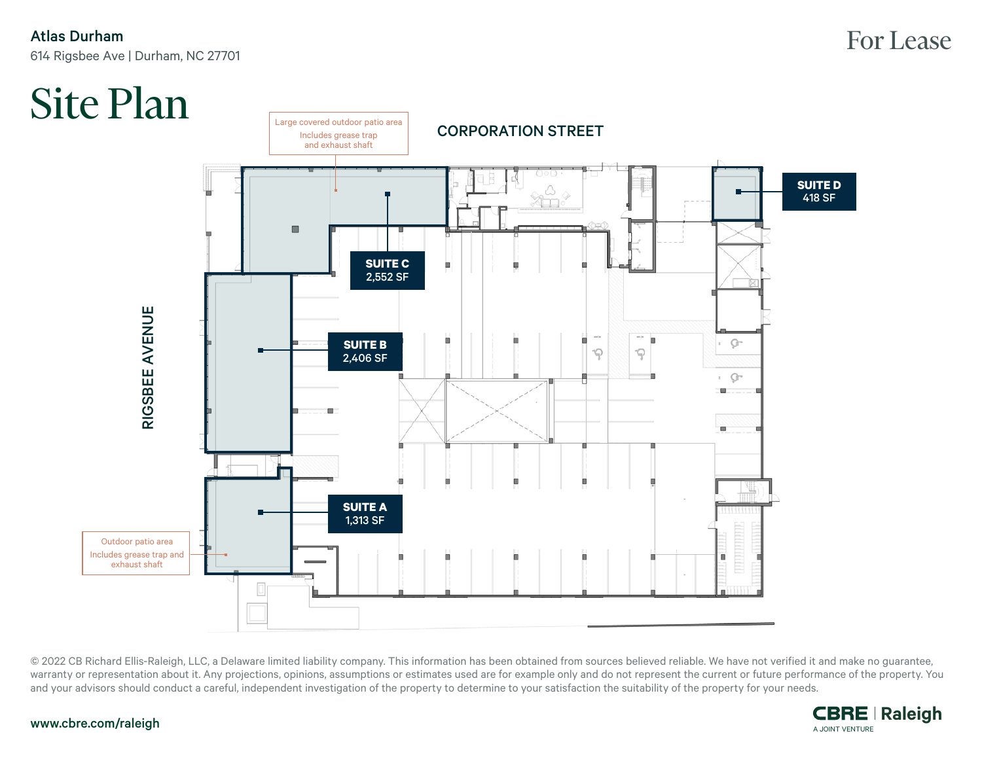## Atlas Durham 614 Rigsbee Ave | Durham, NC 27701



© 2022 CB Richard Ellis-Raleigh, LLC, a Delaware limited liability company. This information has been obtained from sources believed reliable. We have not verified it and make no guarantee, warranty or representation about it. Any projections, opinions, assumptions or estimates used are for example only and do not represent the current or future performance of the property. You and your advisors should conduct a careful, independent investigation of the property to determine to your satisfaction the suitability of the property for your needs.



#### www.cbre.com/raleigh